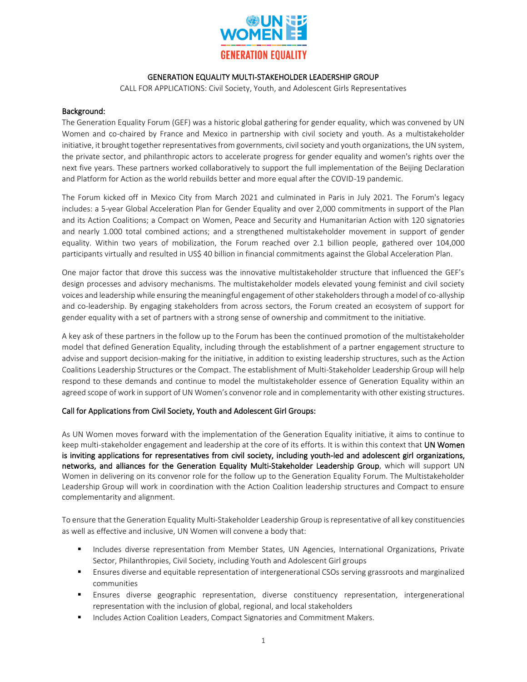

## GENERATION EQUALITY MULTI-STAKEHOLDER LEADERSHIP GROUP

CALL FOR APPLICATIONS: Civil Society, Youth, and Adolescent Girls Representatives

## Background:

The Generation Equality Forum (GEF) was a historic global gathering for gender equality, which was convened by UN Women and co-chaired by France and Mexico in partnership with civil society and youth. As a multistakeholder initiative, it brought together representatives from governments, civil society and youth organizations, the UN system, the private sector, and philanthropic actors to accelerate progress for gender equality and women's rights over the next five years. These partners worked collaboratively to support the full implementation of the Beijing Declaration and Platform for Action as the world rebuilds better and more equal after the COVID-19 pandemic.

The Forum kicked off in Mexico City from March 2021 and culminated in Paris in July 2021. The Forum's legacy includes: a 5-year Global Acceleration Plan for Gender Equality and over 2,000 commitments in support of the Plan and its Action Coalitions; a Compact on Women, Peace and Security and Humanitarian Action with 120 signatories and nearly 1.000 total combined actions; and a strengthened multistakeholder movement in support of gender equality. Within two years of mobilization, the Forum reached over 2.1 billion people, gathered over 104,000 participants virtually and resulted in US\$ 40 billion in financial commitments against the Global Acceleration Plan.

One major factor that drove this success was the innovative multistakeholder structure that influenced the GEF's design processes and advisory mechanisms. The multistakeholder models elevated young feminist and civil society voices and leadership while ensuring the meaningful engagement of other stakeholders through a model of co-allyship and co-leadership. By engaging stakeholders from across sectors, the Forum created an ecosystem of support for gender equality with a set of partners with a strong sense of ownership and commitment to the initiative.

A key ask of these partners in the follow up to the Forum has been the continued promotion of the multistakeholder model that defined Generation Equality, including through the establishment of a partner engagement structure to advise and support decision-making for the initiative, in addition to existing leadership structures, such as the Action Coalitions Leadership Structures or the Compact. The establishment of Multi-Stakeholder Leadership Group will help respond to these demands and continue to model the multistakeholder essence of Generation Equality within an agreed scope of work in support of UN Women's convenor role and in complementarity with other existing structures.

## Call for Applications from Civil Society, Youth and Adolescent Girl Groups:

As UN Women moves forward with the implementation of the Generation Equality initiative, it aims to continue to keep multi-stakeholder engagement and leadership at the core of its efforts. It is within this context that UN Women is inviting applications for representatives from civil society, including youth-led and adolescent girl organizations, networks, and alliances for the Generation Equality Multi-Stakeholder Leadership Group, which will support UN Women in delivering on its convenor role for the follow up to the Generation Equality Forum. The Multistakeholder Leadership Group will work in coordination with the Action Coalition leadership structures and Compact to ensure complementarity and alignment.

To ensure that the Generation Equality Multi-Stakeholder Leadership Group is representative of all key constituencies as well as effective and inclusive, UN Women will convene a body that:

- Includes diverse representation from Member States, UN Agencies, International Organizations, Private Sector, Philanthropies, Civil Society, including Youth and Adolescent Girl groups
- **E** Ensures diverse and equitable representation of intergenerational CSOs serving grassroots and marginalized communities
- **E** Ensures diverse geographic representation, diverse constituency representation, intergenerational representation with the inclusion of global, regional, and local stakeholders
- Includes Action Coalition Leaders, Compact Signatories and Commitment Makers.